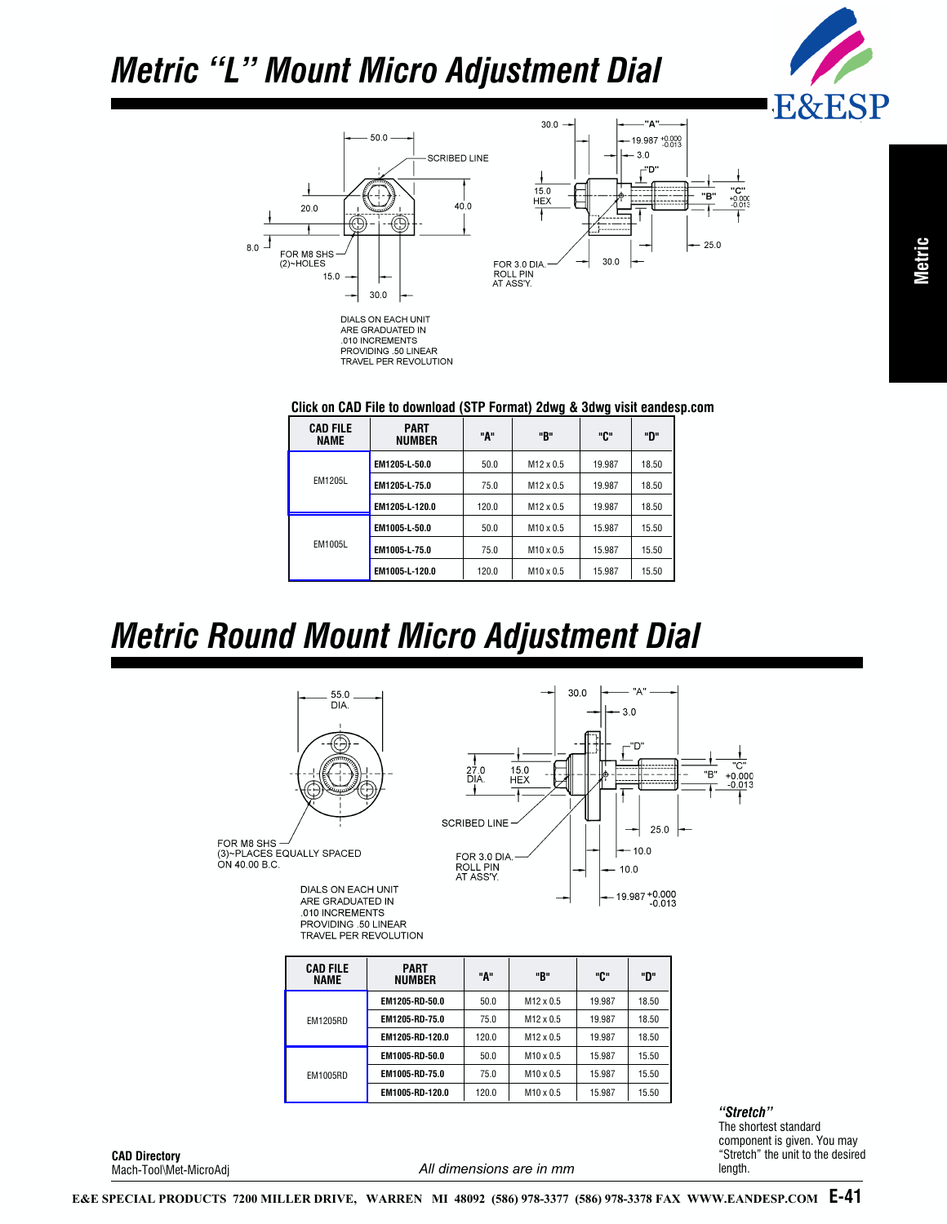## *Metric "L" Mount Micro Adjustment Dial*



"C"<br>+0.000<br>-0.013



PROVIDING .50 LINEAR TRAVEL PER REVOLUTION

#### **Click on CAD File to download (STP Format) 2dwg & 3dwg visit eandesp.com**

| <b>CAD FILE</b><br>NAME | <b>PART</b><br><b>NUMBER</b> | "А"   | "B"              | "ር"    | "ט    |
|-------------------------|------------------------------|-------|------------------|--------|-------|
| <b>EM1205L</b>          | EM1205-L-50.0                | 50.0  | $M12 \times 0.5$ | 19.987 | 18.50 |
|                         | EM1205-L-75.0                | 75.0  | $M12 \times 0.5$ | 19.987 | 18.50 |
|                         | EM1205-L-120.0               | 120.0 | $M12 \times 0.5$ | 19.987 | 18.50 |
| EM1005L                 | EM1005-L-50.0                | 50.0  | $M10 \times 0.5$ | 15.987 | 15.50 |
|                         | EM1005-L-75.0                | 75.0  | $M10 \times 0.5$ | 15.987 | 15.50 |
|                         | EM1005-L-120.0               | 120.0 | $M10 \times 0.5$ | 15.987 | 15.50 |

#### *Metric Round Mount Micro Adjustment Dial*



| <b>CAD FILE</b><br><b>NAME</b> | <b>PART</b><br>NUMBER | "А"   | "B"              | "ር"    | "ט    |
|--------------------------------|-----------------------|-------|------------------|--------|-------|
| <b>EM1205RD</b>                | EM1205-RD-50.0        | 50.0  | $M12 \times 0.5$ | 19.987 | 18.50 |
|                                | EM1205-RD-75.0        | 75.0  | $M12 \times 0.5$ | 19.987 | 18.50 |
|                                | EM1205-RD-120.0       | 120.0 | $M12 \times 0.5$ | 19.987 | 18.50 |
| <b>EM1005RD</b>                | EM1005-RD-50.0        | 50.0  | $M10 \times 0.5$ | 15.987 | 15.50 |
|                                | EM1005-RD-75.0        | 75.0  | $M10 \times 0.5$ | 15.987 | 15.50 |
|                                | EM1005-RD-120.0       | 120.0 | $M10 \times 0.5$ | 15.987 | 15.50 |

*"Stretch"*

The shortest standard component is given. You may "Stretch" the unit to the desired length.

**CAD Directory** Mach-Tool\Met-MicroAdj

#### *All dimensions are in mm*

**E-41 [E&E SPECIAL PRODUCTS 7200 MILLER DRIVE, WARREN MI 48092 \(586\) 978-3377 \(586\) 978-3378 FAX WWW.EANDESP.COM](www.eandesp.com)**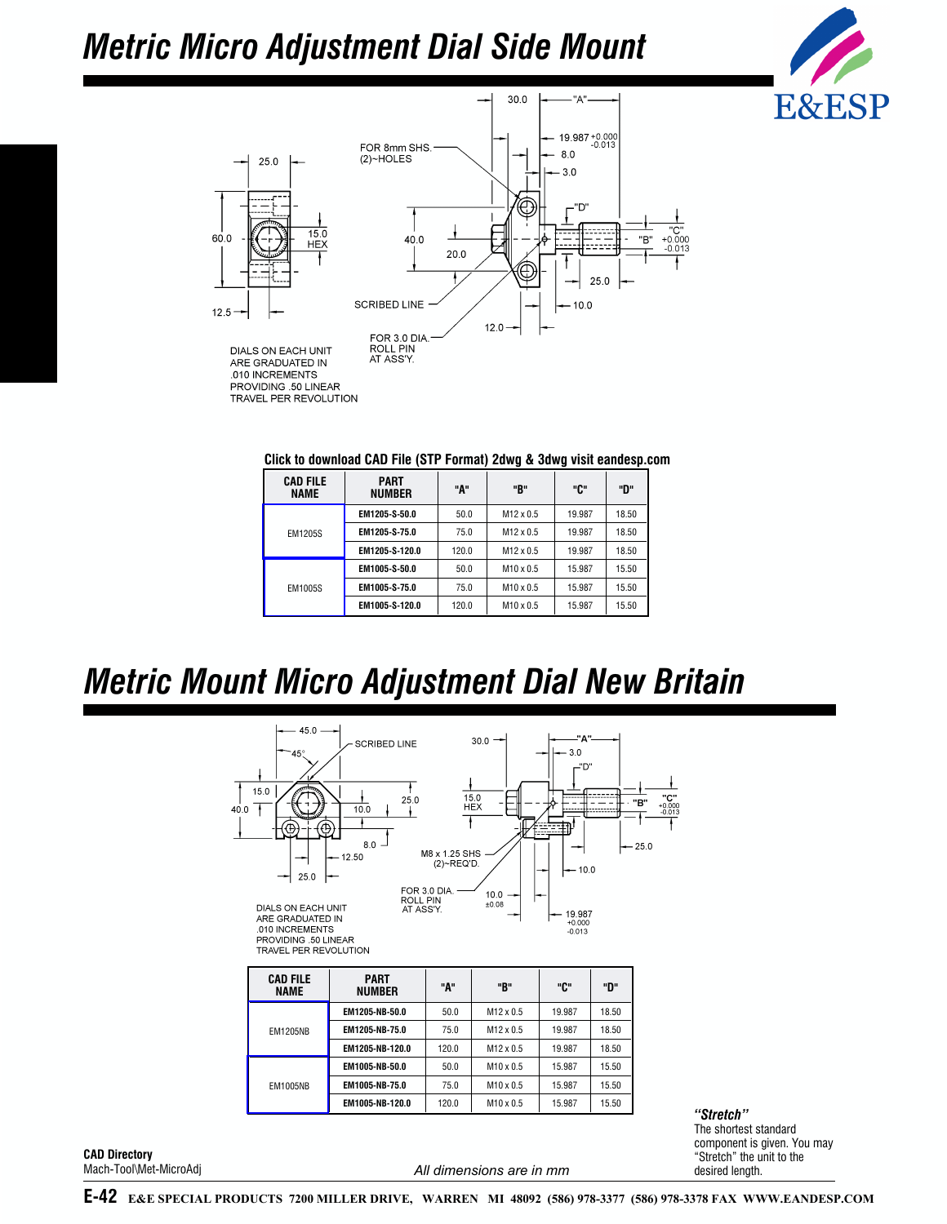# *Metric Micro Adjustment Dial Side Mount*





| <b>CAD FILE</b><br><b>NAME</b> | <b>PART</b><br><b>NUMBER</b> | "А"   | "B"              | "ር"    | "פ"   |
|--------------------------------|------------------------------|-------|------------------|--------|-------|
| <b>EM1205S</b>                 | EM1205-S-50.0                | 50.0  | $M12 \times 0.5$ | 19.987 | 18.50 |
|                                | EM1205-S-75.0                | 75.0  | $M12 \times 0.5$ | 19.987 | 18.50 |
|                                | EM1205-S-120.0               | 120.0 | $M12 \times 0.5$ | 19.987 | 18.50 |

**EM1005-S-50.0** | 50.0 | M10 x 0.5 | 15.987 | 15.50 **EM1005-S-75.0** 75.0 M10 x 0.5 15.987 15.50 **EM1005-S-120.0** 120.0 M10 x 0.5 15.987 15.50

## *Metric Mount Micro Adjustment Dial New Britain*

[EM1005S](http://eesp.co/E&E%20Special%20Products%20CAD%20Library/Metric/Step/Machine%20Tool%20Components/MET-MICROADJ/EM1005S.stp)



*"Stretch"* The shortest standard component is given. You may "Stretch" the unit to the desired length.

**CAD Directory** Mach-Tool\Met-MicroAdj

*All dimensions are in mm*